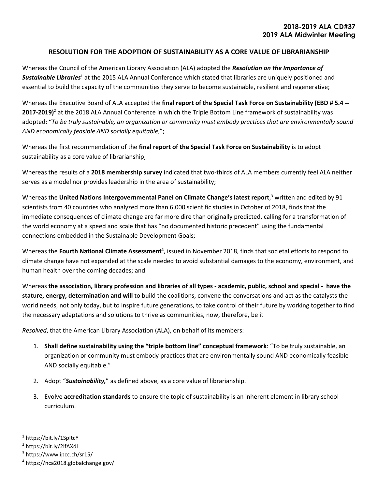### **RESOLUTION FOR THE ADOPTION OF SUSTAINABILITY AS A CORE VALUE OF LIBRARIANSHIP**

Whereas the Council of the American Library Association (ALA) adopted the *Resolution on the Importance of*  Sustainable Libraries<sup>1</sup> at the 2015 ALA Annual Conference which stated that libraries are uniquely positioned and essential to build the capacity of the communities they serve to become sustainable, resilient and regenerative;

Whereas the Executive Board of ALA accepted the **final report of the Special Task Force on Sustainability (EBD # 5.4 --** 2017-2019)<sup>2</sup> at the 2018 ALA Annual Conference in which the Triple Bottom Line framework of sustainability was adopted: "*To be truly sustainable, an organization or community must embody practices that are environmentally sound AND economically feasible AND socially equitable*,";

Whereas the first recommendation of the **final report of the Special Task Force on Sustainability** is to adopt sustainability as a core value of librarianship;

Whereas the results of a **2018 membership survey** indicated that two-thirds of ALA members currently feel ALA neither serves as a model nor provides leadership in the area of sustainability;

Whereas the **United Nations Intergovernmental Panel on Climate Change's latest report**, 3 written and edited by 91 scientists from 40 countries who analyzed more than 6,000 scientific studies in October of 2018, finds that the immediate consequences of climate change are far more dire than originally predicted, calling for a transformation of the world economy at a speed and scale that has "no documented historic precedent" using the fundamental connections embedded in the Sustainable Development Goals;

Whereas the **Fourth National Climate Assessment<sup>4</sup>** , issued in November 2018, finds that societal efforts to respond to climate change have not expanded at the scale needed to avoid substantial damages to the economy, environment, and human health over the coming decades; and

Whereas **the association, library profession and libraries of all types - academic, public, school and special - have the stature, energy, determination and will** to build the coalitions, convene the conversations and act as the catalysts the world needs, not only today, but to inspire future generations, to take control of their future by working together to find the necessary adaptations and solutions to thrive as communities, now, therefore, be it

*Resolved*, that the American Library Association (ALA), on behalf of its members:

- 1. **Shall define sustainability using the "triple bottom line" conceptual framework**: "To be truly sustainable, an organization or community must embody practices that are environmentally sound AND economically feasible AND socially equitable."
- 2. Adopt "*Sustainability,*" as defined above, as a core value of librarianship.
- 3. Evolve **accreditation standards** to ensure the topic of sustainability is an inherent element in library school curriculum.

 $\overline{a}$ 

<sup>&</sup>lt;sup>1</sup> https://bit.ly/1SpItcY

<sup>&</sup>lt;sup>2</sup> https://bit.ly/2lfAXdl

<sup>3</sup> https://www.ipcc.ch/sr15/

<sup>4</sup> https://nca2018.globalchange.gov/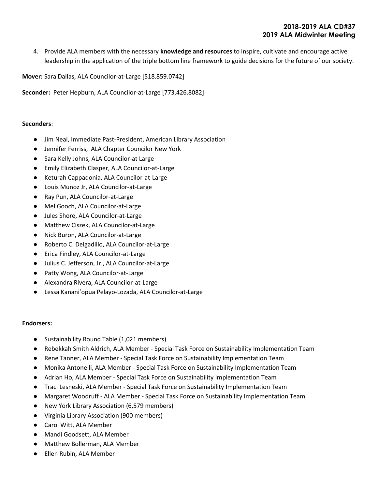4. Provide ALA members with the necessary **knowledge and resources** to inspire, cultivate and encourage active leadership in the application of the triple bottom line framework to guide decisions for the future of our society.

**Mover:** Sara Dallas, ALA Councilor-at-Large [518.859.0742]

**Seconder:** Peter Hepburn, ALA Councilor-at-Large [773.426.8082]

### **Seconders**:

- Jim Neal, Immediate Past-President, American Library Association
- Jennifer Ferriss, ALA Chapter Councilor New York
- Sara Kelly Johns, ALA Councilor-at Large
- Emily Elizabeth Clasper, ALA Councilor-at-Large
- Keturah Cappadonia, ALA Councilor-at-Large
- Louis Munoz Jr, ALA Councilor-at-Large
- Ray Pun, ALA Councilor-at-Large
- Mel Gooch, ALA Councilor-at-Large
- Jules Shore, ALA Councilor-at-Large
- Matthew Ciszek, ALA Councilor-at-Large
- Nick Buron, ALA Councilor-at-Large
- Roberto C. Delgadillo, ALA Councilor-at-Large
- Erica Findley, ALA Councilor-at-Large
- Julius C. Jefferson, Jr., ALA Councilor-at-Large
- Patty Wong, ALA Councilor-at-Large
- Alexandra Rivera, ALA Councilor-at-Large
- Lessa Kanani'opua Pelayo-Lozada, ALA Councilor-at-Large

#### **Endorsers:**

- Sustainability Round Table (1,021 members)
- Rebekkah Smith Aldrich, ALA Member Special Task Force on Sustainability Implementation Team
- Rene Tanner, ALA Member Special Task Force on Sustainability Implementation Team
- Monika Antonelli, ALA Member Special Task Force on Sustainability Implementation Team
- Adrian Ho, ALA Member Special Task Force on Sustainability Implementation Team
- Traci Lesneski, ALA Member Special Task Force on Sustainability Implementation Team
- Margaret Woodruff ALA Member Special Task Force on Sustainability Implementation Team
- New York Library Association (6,579 members)
- Virginia Library Association (900 members)
- Carol Witt, ALA Member
- Mandi Goodsett, ALA Member
- Matthew Bollerman, ALA Member
- Ellen Rubin, ALA Member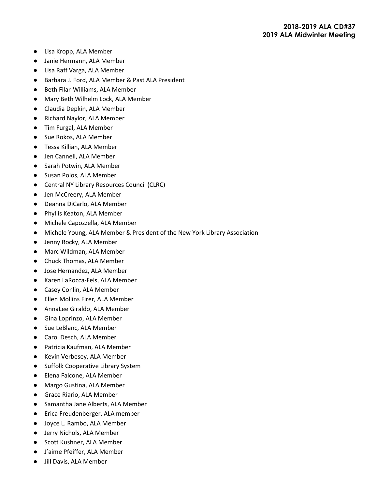- Lisa Kropp, ALA Member
- Janie Hermann, ALA Member
- Lisa Raff Varga, ALA Member
- Barbara J. Ford, ALA Member & Past ALA President
- Beth Filar-Williams, ALA Member
- Mary Beth Wilhelm Lock, ALA Member
- Claudia Depkin, ALA Member
- Richard Naylor, ALA Member
- Tim Furgal, ALA Member
- Sue Rokos, ALA Member
- Tessa Killian, ALA Member
- Jen Cannell, ALA Member
- Sarah Potwin, ALA Member
- Susan Polos, ALA Member
- Central NY Library Resources Council (CLRC)
- Jen McCreery, ALA Member
- Deanna DiCarlo, ALA Member
- Phyllis Keaton, ALA Member
- Michele Capozzella, ALA Member
- Michele Young, ALA Member & President of the New York Library Association
- Jenny Rocky, ALA Member
- Marc Wildman, ALA Member
- Chuck Thomas, ALA Member
- Jose Hernandez, ALA Member
- Karen LaRocca-Fels, ALA Member
- Casey Conlin, ALA Member
- Ellen Mollins Firer, ALA Member
- AnnaLee Giraldo, ALA Member
- Gina Loprinzo, ALA Member
- Sue LeBlanc, ALA Member
- Carol Desch, ALA Member
- Patricia Kaufman, ALA Member
- Kevin Verbesey, ALA Member
- Suffolk Cooperative Library System
- Elena Falcone, ALA Member
- Margo Gustina, ALA Member
- Grace Riario, ALA Member
- Samantha Jane Alberts, ALA Member
- Erica Freudenberger, ALA member
- Joyce L. Rambo, ALA Member
- Jerry Nichols, ALA Member
- Scott Kushner, ALA Member
- J'aime Pfeiffer, ALA Member
- Jill Davis, ALA Member